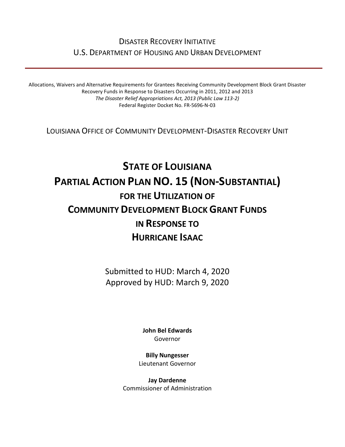## DISASTER RECOVERY INITIATIVE U.S. DEPARTMENT OF HOUSING AND URBAN DEVELOPMENT

Allocations, Waivers and Alternative Requirements for Grantees Receiving Community Development Block Grant Disaster Recovery Funds in Response to Disasters Occurring in 2011, 2012 and 2013 *The Disaster Relief Appropriations Act, 2013 (Public Law 113-2)* Federal Register Docket No. FR-5696-N-03

LOUISIANA OFFICE OF COMMUNITY DEVELOPMENT-DISASTER RECOVERY UNIT

# **STATE OF LOUISIANA PARTIAL ACTION PLAN NO. 15 (NON-SUBSTANTIAL) FOR THE UTILIZATION OF COMMUNITY DEVELOPMENT BLOCK GRANT FUNDS IN RESPONSE TO HURRICANE ISAAC**

Submitted to HUD: March 4, 2020 Approved by HUD: March 9, 2020

> **[John Bel Edwards](https://www.facebook.com/LouisianaGov/)** Governor

**Billy Nungesser** Lieutenant Governor

**Jay Dardenne** Commissioner of Administration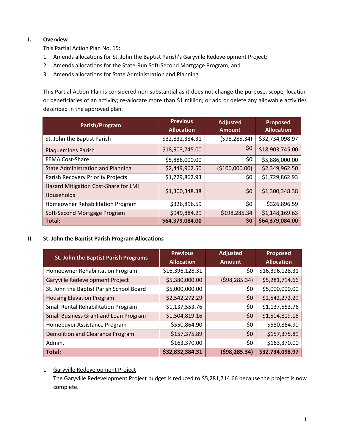#### **I. Overview**

This Partial Action Plan No. 15:

- 1. Amends allocations for St. John the Baptist Parish's Garyville Redevelopment Project;
- 2. Amends allocations for the State-Run Soft-Second Mortgage Program; and
- 3. Amends allocations for State Administration and Planning.

This Partial Action Plan is considered non-substantial as it does not change the purpose, scope, location or beneficiaries of an activity; re-allocate more than \$1 million; or add or delete any allowable activities described in the approved plan.

| Parish/Program                                     | <b>Previous</b><br><b>Allocation</b> | <b>Adjusted</b><br><b>Amount</b> | <b>Proposed</b><br><b>Allocation</b> |
|----------------------------------------------------|--------------------------------------|----------------------------------|--------------------------------------|
| St. John the Baptist Parish                        | \$32,832,384.31                      | (598, 285.34)                    | \$32,734,098.97                      |
| <b>Plaquemines Parish</b>                          | \$18,903,745.00                      | \$0                              | \$18,903,745.00                      |
| <b>FEMA Cost-Share</b>                             | \$5,886,000.00                       | \$0                              | \$5,886,000.00                       |
| <b>State Administration and Planning</b>           | \$2,449,962.50                       | (\$100,000.00)                   | \$2,349,962.50                       |
| Parish Recovery Priority Projects                  | \$1,729,862.93                       | \$0                              | \$1,729,862.93                       |
| Hazard Mitigation Cost-Share for LMI<br>Households | \$1,300,348.38                       | \$0                              | \$1,300,348.38                       |
| Homeowner Rehabilitation Program                   | \$326,896.59                         | \$0                              | \$326,896.59                         |
| Soft-Second Mortgage Program                       | \$949,884.29                         | \$198,285.34                     | \$1,148,169.63                       |
| Total:                                             | \$64,379,084.00                      | \$0                              | \$64,379,084.00                      |

#### **II. St. John the Baptist Parish Program Allocations**

| <b>St. John the Baptist Parish Programs</b> | <b>Previous</b><br><b>Allocation</b> | <b>Adjusted</b><br><b>Amount</b> | <b>Proposed</b><br><b>Allocation</b> |
|---------------------------------------------|--------------------------------------|----------------------------------|--------------------------------------|
| Homeowner Rehabilitation Program            | \$16,396,128.31                      | \$0                              | \$16,396,128.31                      |
| Garyville Redevelopment Project             | \$5,380,000.00                       | (598, 285.34)                    | \$5,281,714.66                       |
| St. John the Baptist Parish School Board    | \$5,000,000.00                       | \$0                              | \$5,000,000.00                       |
| <b>Housing Elevation Program</b>            | \$2,542,272.29                       | \$0                              | \$2,542,272.29                       |
| Small Rental Rehabilitation Program         | \$1,137,553.76                       | \$0                              | \$1,137,553.76                       |
| Small Business Grant and Loan Program       | \$1,504,819.16                       | \$0                              | \$1,504,819.16                       |
| Homebuyer Assistance Program                | \$550,864.90                         | \$0                              | \$550,864.90                         |
| Demolition and Clearance Program            | \$157,375.89                         | \$0                              | \$157,375.89                         |
| Admin.                                      | \$163,370.00                         | \$0                              | \$163,370.00                         |
| Total:                                      | \$32,832,384.31                      | (598, 285.34)                    | \$32,734,098.97                      |

#### 1. Garyville Redevelopment Project

The Garyville Redevelopment Project budget is reduced to \$5,281,714.66 because the project is now complete.